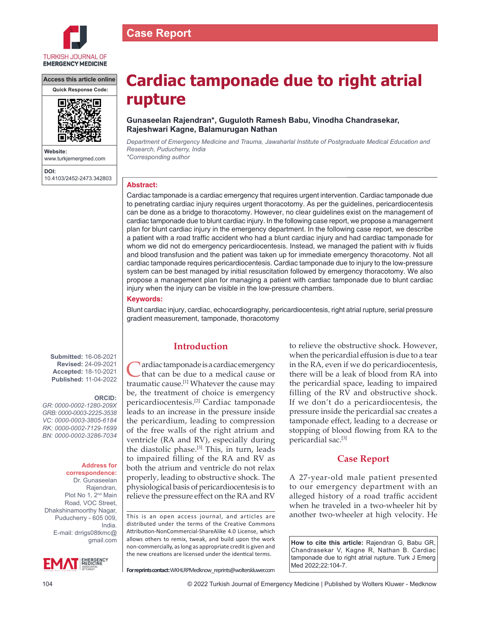

**Access this article online**



**Website:** www.turkjemergmed.com **DOI:** 10.4103/2452-2473.342803

# **Cardiac tamponade due to right atrial rupture**

# **Gunaseelan Rajendran\*, Guguloth Ramesh Babu, Vinodha Chandrasekar, Rajeshwari Kagne, Balamurugan Nathan**

*Department of Emergency Medicine and Trauma, Jawaharlal Institute of Postgraduate Medical Education and Research, Puducherry, India \*Corresponding author*

## **Abstract:**

**Case Report**

Cardiac tamponade is a cardiac emergency that requires urgent intervention. Cardiac tamponade due to penetrating cardiac injury requires urgent thoracotomy. As per the guidelines, pericardiocentesis can be done as a bridge to thoracotomy. However, no clear guidelines exist on the management of cardiac tamponade due to blunt cardiac injury. In the following case report, we propose a management plan for blunt cardiac injury in the emergency department. In the following case report, we describe a patient with a road traffic accident who had a blunt cardiac injury and had cardiac tamponade for whom we did not do emergency pericardiocentesis. Instead, we managed the patient with iv fluids and blood transfusion and the patient was taken up for immediate emergency thoracotomy. Not all cardiac tamponade requires pericardiocentesis. Cardiac tamponade due to injury to the low-pressure system can be best managed by initial resuscitation followed by emergency thoracotomy. We also propose a management plan for managing a patient with cardiac tamponade due to blunt cardiac injury when the injury can be visible in the low-pressure chambers.

## **Keywords:**

Blunt cardiac injury, cardiac, echocardiography, pericardiocentesis, right atrial rupture, serial pressure gradient measurement, tamponade, thoracotomy

**Submitted:** 16-08-2021 **Revised:** 24-09-2021 **Accepted:** 18-10-2021 **Published:** 11-04-2022

## **ORCID:**

*GR: 0000‑0002‑1280‑209X GRB: 0000‑0003‑2225‑3538 VC: 0000‑0003‑3805‑6184 RK: 0000‑0002‑7129‑1699 BN: 0000‑0002‑3286‑7034*

#### **Address for correspondence:**

Dr. Gunaseelan Rajendran, Plot No 1, 2<sup>nd</sup> Main Road, VOC Street, Dhakshinamoorthy Nagar, Puducherry - 605 009, India. E-mail: drrigs08tkmc@ gmail.com



## **Introduction**

ardiac tamponade is a cardiac emergency that can be due to a medical cause or traumatic cause.[1] Whatever the cause may be, the treatment of choice is emergency pericardiocentesis.[2] Cardiac tamponade leads to an increase in the pressure inside the pericardium, leading to compression of the free walls of the right atrium and ventricle (RA and RV), especially during the diastolic phase.<sup>[3]</sup> This, in turn, leads to impaired filling of the RA and RV as both the atrium and ventricle do not relax properly, leading to obstructive shock. The physiological basis of pericardiocentesis is to relieve the pressure effect on the RA and RV

This is an open access journal, and articles are distributed under the terms of the Creative Commons Attribution‑NonCommercial‑ShareAlike 4.0 License, which allows others to remix, tweak, and build upon the work non‑commercially, as long as appropriate credit is given and the new creations are licensed under the identical terms.

to relieve the obstructive shock. However, when the pericardial effusion is due to a tear in the RA, even if we do pericardiocentesis, there will be a leak of blood from RA into the pericardial space, leading to impaired filling of the RV and obstructive shock. If we don't do a pericardiocentesis, the pressure inside the pericardial sac creates a tamponade effect, leading to a decrease or stopping of blood flowing from RA to the pericardial sac.[3]

# **Case Report**

A 27‑year‑old male patient presented to our emergency department with an alleged history of a road traffic accident when he traveled in a two-wheeler hit by another two‑wheeler at high velocity. He

**How to cite this article:** Rajendran G, Babu GR, Chandrasekar V, Kagne R, Nathan B. Cardiac tamponade due to right atrial rupture. Turk J Emerg Med 2022;22:104-7.

**For reprints contact:** WKHLRPMedknow\_reprints@wolterskluwer.com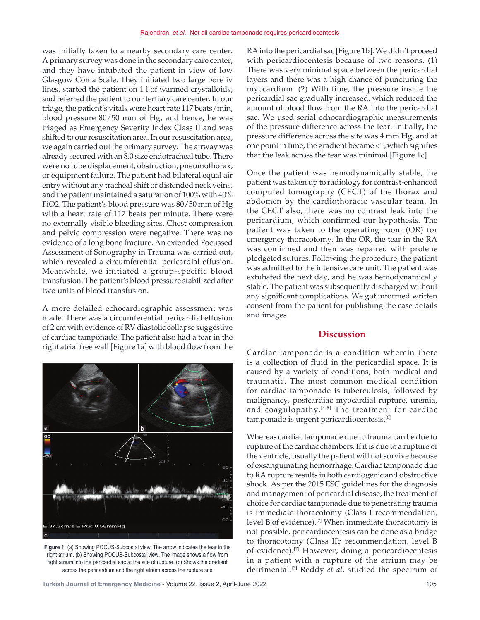was initially taken to a nearby secondary care center. A primary survey was done in the secondary care center, and they have intubated the patient in view of low Glasgow Coma Scale. They initiated two large bore iv lines, started the patient on 1 l of warmed crystalloids, and referred the patient to our tertiary care center. In our triage, the patient's vitals were heart rate 117 beats/min, blood pressure 80/50 mm of Hg, and hence, he was triaged as Emergency Severity Index Class II and was shifted to our resuscitation area. In our resuscitation area, we again carried out the primary survey. The airway was already secured with an 8.0 size endotracheal tube. There were no tube displacement, obstruction, pneumothorax, or equipment failure. The patient had bilateral equal air entry without any tracheal shift or distended neck veins, and the patient maintained a saturation of 100% with 40% FiO2. The patient's blood pressure was 80/50 mm of Hg with a heart rate of 117 beats per minute. There were no externally visible bleeding sites. Chest compression and pelvic compression were negative. There was no evidence of a long bone fracture. An extended Focussed Assessment of Sonography in Trauma was carried out, which revealed a circumferential pericardial effusion. Meanwhile, we initiated a group‑specific blood transfusion. The patient's blood pressure stabilized after two units of blood transfusion.

A more detailed echocardiographic assessment was made. There was a circumferential pericardial effusion of 2 cm with evidence of RV diastolic collapse suggestive of cardiac tamponade. The patient also had a tear in the right atrial free wall [Figure 1a] with blood flow from the



**Figure 1:** (a) Showing POCUS‑Subcostal view. The arrow indicates the tear in the right atrium. (b) Showing POCUS‑Subcostal view. The image shows a flow from right atrium into the pericardial sac at the site of rupture. (c) Shows the gradient across the pericardium and the right atrium across the rupture site

RA into the pericardial sac [Figure 1b]. We didn't proceed with pericardiocentesis because of two reasons. (1) There was very minimal space between the pericardial layers and there was a high chance of puncturing the myocardium. (2) With time, the pressure inside the pericardial sac gradually increased, which reduced the amount of blood flow from the RA into the pericardial sac. We used serial echocardiographic measurements of the pressure difference across the tear. Initially, the pressure difference across the site was 4 mm Hg, and at one point in time, the gradient became <1, which signifies that the leak across the tear was minimal [Figure 1c].

Once the patient was hemodynamically stable, the patient was taken up to radiology for contrast-enhanced computed tomography (CECT) of the thorax and abdomen by the cardiothoracic vascular team. In the CECT also, there was no contrast leak into the pericardium, which confirmed our hypothesis. The patient was taken to the operating room (OR) for emergency thoracotomy. In the OR, the tear in the RA was confirmed and then was repaired with prolene pledgeted sutures. Following the procedure, the patient was admitted to the intensive care unit. The patient was extubated the next day, and he was hemodynamically stable. The patient was subsequently discharged without any significant complications. We got informed written consent from the patient for publishing the case details and images.

## **Discussion**

Cardiac tamponade is a condition wherein there is a collection of fluid in the pericardial space. It is caused by a variety of conditions, both medical and traumatic. The most common medical condition for cardiac tamponade is tuberculosis, followed by malignancy, postcardiac myocardial rupture, uremia, and coagulopathy.<sup>[4,5]</sup> The treatment for cardiac tamponade is urgent pericardiocentesis.<sup>[6]</sup>

Whereas cardiac tamponade due to trauma can be due to rupture of the cardiac chambers. If it is due to a rupture of the ventricle, usually the patient will not survive because of exsanguinating hemorrhage. Cardiac tamponade due to RA rupture results in both cardiogenic and obstructive shock. As per the 2015 ESC guidelines for the diagnosis and management of pericardial disease, the treatment of choice for cardiac tamponade due to penetrating trauma is immediate thoracotomy (Class I recommendation, level B of evidence).[7] When immediate thoracotomy is not possible, pericardiocentesis can be done as a bridge to thoracotomy (Class IIb recommendation, level B of evidence).<sup>[7]</sup> However, doing a pericardiocentesis in a patient with a rupture of the atrium may be detrimental.[3] Reddy *et al*. studied the spectrum of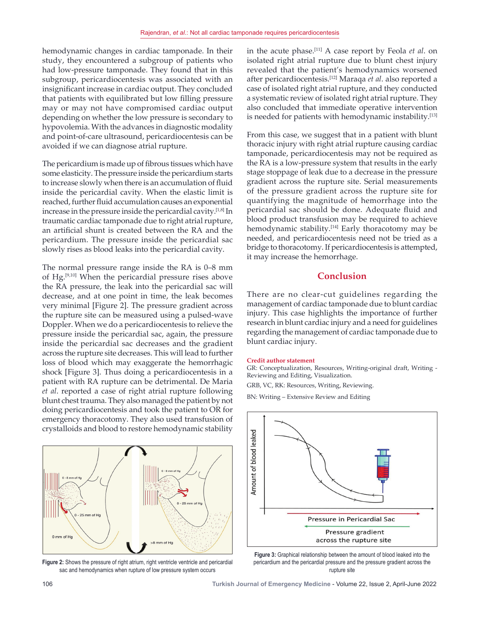hemodynamic changes in cardiac tamponade. In their study, they encountered a subgroup of patients who had low-pressure tamponade. They found that in this subgroup, pericardiocentesis was associated with an insignificant increase in cardiac output. They concluded that patients with equilibrated but low filling pressure may or may not have compromised cardiac output depending on whether the low pressure is secondary to hypovolemia. With the advances in diagnostic modality and point-of-care ultrasound, pericardiocentesis can be avoided if we can diagnose atrial rupture.

The pericardium is made up of fibrous tissues which have some elasticity. The pressure inside the pericardium starts to increase slowly when there is an accumulation of fluid inside the pericardial cavity. When the elastic limit is reached, further fluid accumulation causes an exponential increase in the pressure inside the pericardial cavity.<sup>[1,8]</sup> In traumatic cardiac tamponade due to right atrial rupture, an artificial shunt is created between the RA and the pericardium. The pressure inside the pericardial sac slowly rises as blood leaks into the pericardial cavity.

The normal pressure range inside the RA is 0–8 mm of Hg.[9,10] When the pericardial pressure rises above the RA pressure, the leak into the pericardial sac will decrease, and at one point in time, the leak becomes very minimal [Figure 2]. The pressure gradient across the rupture site can be measured using a pulsed‑wave Doppler. When we do a pericardiocentesis to relieve the pressure inside the pericardial sac, again, the pressure inside the pericardial sac decreases and the gradient across the rupture site decreases. This will lead to further loss of blood which may exaggerate the hemorrhagic shock [Figure 3]. Thus doing a pericardiocentesis in a patient with RA rupture can be detrimental. De Maria *et al*. reported a case of right atrial rupture following blunt chest trauma. They also managed the patient by not doing pericardiocentesis and took the patient to OR for emergency thoracotomy. They also used transfusion of crystalloids and blood to restore hemodynamic stability



**Figure 2:** Shows the pressure of right atrium, right ventricle ventricle and pericardial sac and hemodynamics when rupture of low pressure system occurs

in the acute phase.[11] A case report by Feola *et al*. on isolated right atrial rupture due to blunt chest injury revealed that the patient's hemodynamics worsened after pericardiocentesis.[12] Maraqa *et al*. also reported a case of isolated right atrial rupture, and they conducted a systematic review of isolated right atrial rupture. They also concluded that immediate operative intervention is needed for patients with hemodynamic instability.<sup>[13]</sup>

From this case, we suggest that in a patient with blunt thoracic injury with right atrial rupture causing cardiac tamponade, pericardiocentesis may not be required as the RA is a low‑pressure system that results in the early stage stoppage of leak due to a decrease in the pressure gradient across the rupture site. Serial measurements of the pressure gradient across the rupture site for quantifying the magnitude of hemorrhage into the pericardial sac should be done. Adequate fluid and blood product transfusion may be required to achieve hemodynamic stability.<sup>[14]</sup> Early thoracotomy may be needed, and pericardiocentesis need not be tried as a bridge to thoracotomy. If pericardiocentesis is attempted, it may increase the hemorrhage.

## **Conclusion**

There are no clear-cut guidelines regarding the management of cardiac tamponade due to blunt cardiac injury. This case highlights the importance of further research in blunt cardiac injury and a need for guidelines regarding the management of cardiac tamponade due to blunt cardiac injury.

#### **Credit author statement**

GR: Conceptualization, Resources, Writing-original draft, Writing -Reviewing and Editing, Visualization.

GRB, VC, RK: Resources, Writing, Reviewing.

BN: Writing – Extensive Review and Editing



**Figure 3:** Graphical relationship between the amount of blood leaked into the pericardium and the pericardial pressure and the pressure gradient across the rupture site